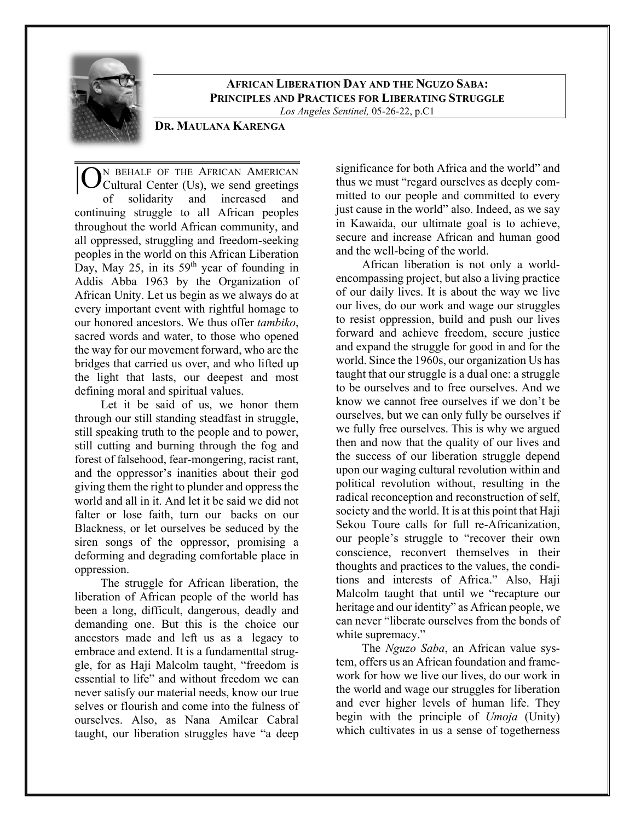

**AFRICAN LIBERATION DAY AND THE NGUZO SABA: PRINCIPLES AND PRACTICES FOR LIBERATING STRUGGLE** *Los Angeles Sentinel,* 05-26-22, p.C1

# **DR. MAULANA KARENGA**

N BEHALF OF THE AFRICAN AMERICAN Cultural Center (Us), we send greetings of solidarity and increased and continuing struggle to all African peoples throughout the world African community, and all oppressed, struggling and freedom-seeking peoples in the world on this African Liberation Day, May 25, in its  $59<sup>th</sup>$  year of founding in Addis Abba 1963 by the Organization of African Unity. Let us begin as we always do at every important event with rightful homage to our honored ancestors. We thus offer *tambiko*, sacred words and water, to those who opened the way for our movement forward, who are the bridges that carried us over, and who lifted up the light that lasts, our deepest and most defining moral and spiritual values. |O

Let it be said of us, we honor them through our still standing steadfast in struggle, still speaking truth to the people and to power, still cutting and burning through the fog and forest of falsehood, fear-mongering, racist rant, and the oppressor's inanities about their god giving them the right to plunder and oppress the world and all in it. And let it be said we did not falter or lose faith, turn our backs on our Blackness, or let ourselves be seduced by the siren songs of the oppressor, promising a deforming and degrading comfortable place in oppression.

The struggle for African liberation, the liberation of African people of the world has been a long, difficult, dangerous, deadly and demanding one. But this is the choice our ancestors made and left us as a legacy to embrace and extend. It is a fundamenttal struggle, for as Haji Malcolm taught, "freedom is essential to life" and without freedom we can never satisfy our material needs, know our true selves or flourish and come into the fulness of ourselves. Also, as Nana Amilcar Cabral taught, our liberation struggles have "a deep

significance for both Africa and the world" and thus we must "regard ourselves as deeply committed to our people and committed to every just cause in the world" also. Indeed, as we say in Kawaida, our ultimate goal is to achieve, secure and increase African and human good and the well-being of the world.

African liberation is not only a worldencompassing project, but also a living practice of our daily lives. It is about the way we live our lives, do our work and wage our struggles to resist oppression, build and push our lives forward and achieve freedom, secure justice and expand the struggle for good in and for the world. Since the 1960s, our organization Us has taught that our struggle is a dual one: a struggle to be ourselves and to free ourselves. And we know we cannot free ourselves if we don't be ourselves, but we can only fully be ourselves if we fully free ourselves. This is why we argued then and now that the quality of our lives and the success of our liberation struggle depend upon our waging cultural revolution within and political revolution without, resulting in the radical reconception and reconstruction of self, society and the world. It is at this point that Haji Sekou Toure calls for full re-Africanization, our people's struggle to "recover their own conscience, reconvert themselves in their thoughts and practices to the values, the conditions and interests of Africa." Also, Haji Malcolm taught that until we "recapture our heritage and our identity" as African people, we can never "liberate ourselves from the bonds of white supremacy."

The *Nguzo Saba*, an African value system, offers us an African foundation and framework for how we live our lives, do our work in the world and wage our struggles for liberation and ever higher levels of human life. They begin with the principle of *Umoja* (Unity) which cultivates in us a sense of togetherness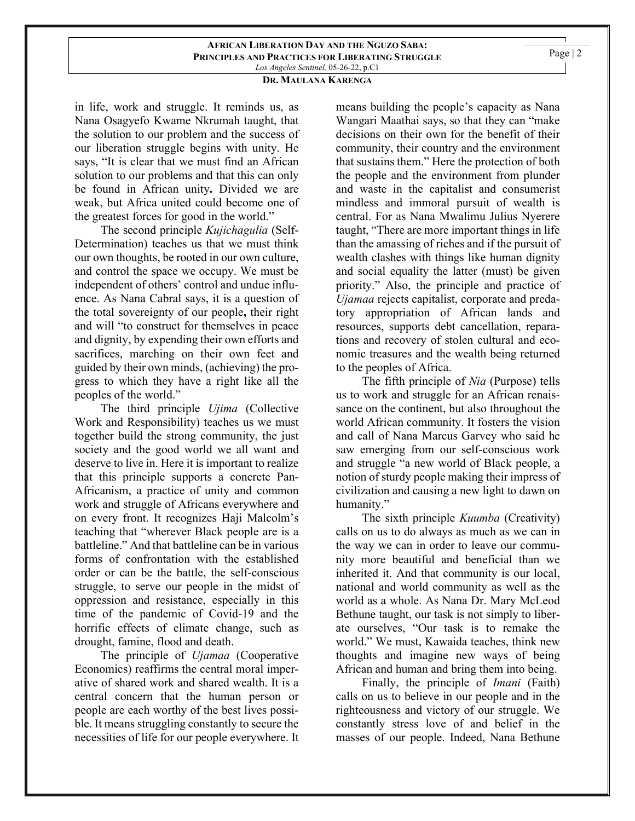### **AFRICAN LIBERATION DAY AND THE NGUZO SABA: PRINCIPLES AND PRACTICES FOR LIBERATING STRUGGLE** *Los Angeles Sentinel,* 05-26-22, p.C1

# **DR. MAULANA KARENGA**

in life, work and struggle. It reminds us, as Nana Osagyefo Kwame Nkrumah taught, that the solution to our problem and the success of our liberation struggle begins with unity. He says, "It is clear that we must find an African solution to our problems and that this can only be found in African unity**.** Divided we are weak, but Africa united could become one of the greatest forces for good in the world."

The second principle *Kujichagulia* (Self-Determination) teaches us that we must think our own thoughts, be rooted in our own culture, and control the space we occupy. We must be independent of others' control and undue influence. As Nana Cabral says, it is a question of the total sovereignty of our people**,** their right and will "to construct for themselves in peace and dignity, by expending their own efforts and sacrifices, marching on their own feet and guided by their own minds, (achieving) the progress to which they have a right like all the peoples of the world."

The third principle *Ujima* (Collective Work and Responsibility) teaches us we must together build the strong community, the just society and the good world we all want and deserve to live in. Here it is important to realize that this principle supports a concrete Pan-Africanism, a practice of unity and common work and struggle of Africans everywhere and on every front. It recognizes Haji Malcolm's teaching that "wherever Black people are is a battleline." And that battleline can be in various forms of confrontation with the established order or can be the battle, the self-conscious struggle, to serve our people in the midst of oppression and resistance, especially in this time of the pandemic of Covid-19 and the horrific effects of climate change, such as drought, famine, flood and death.

The principle of *Ujamaa* (Cooperative Economics) reaffirms the central moral imperative of shared work and shared wealth. It is a central concern that the human person or people are each worthy of the best lives possible. It means struggling constantly to secure the necessities of life for our people everywhere. It

means building the people's capacity as Nana Wangari Maathai says, so that they can "make decisions on their own for the benefit of their community, their country and the environment that sustains them." Here the protection of both the people and the environment from plunder and waste in the capitalist and consumerist mindless and immoral pursuit of wealth is central. For as Nana Mwalimu Julius Nyerere taught, "There are more important things in life than the amassing of riches and if the pursuit of wealth clashes with things like human dignity and social equality the latter (must) be given priority." Also, the principle and practice of *Ujamaa* rejects capitalist, corporate and predatory appropriation of African lands and resources, supports debt cancellation, reparations and recovery of stolen cultural and economic treasures and the wealth being returned to the peoples of Africa.

The fifth principle of *Nia* (Purpose) tells us to work and struggle for an African renaissance on the continent, but also throughout the world African community. It fosters the vision and call of Nana Marcus Garvey who said he saw emerging from our self-conscious work and struggle "a new world of Black people, a notion of sturdy people making their impress of civilization and causing a new light to dawn on humanity."

The sixth principle *Kuumba* (Creativity) calls on us to do always as much as we can in the way we can in order to leave our community more beautiful and beneficial than we inherited it. And that community is our local, national and world community as well as the world as a whole. As Nana Dr. Mary McLeod Bethune taught, our task is not simply to liberate ourselves, "Our task is to remake the world." We must, Kawaida teaches, think new thoughts and imagine new ways of being African and human and bring them into being.

Finally, the principle of *Imani* (Faith) calls on us to believe in our people and in the righteousness and victory of our struggle. We constantly stress love of and belief in the masses of our people. Indeed, Nana Bethune